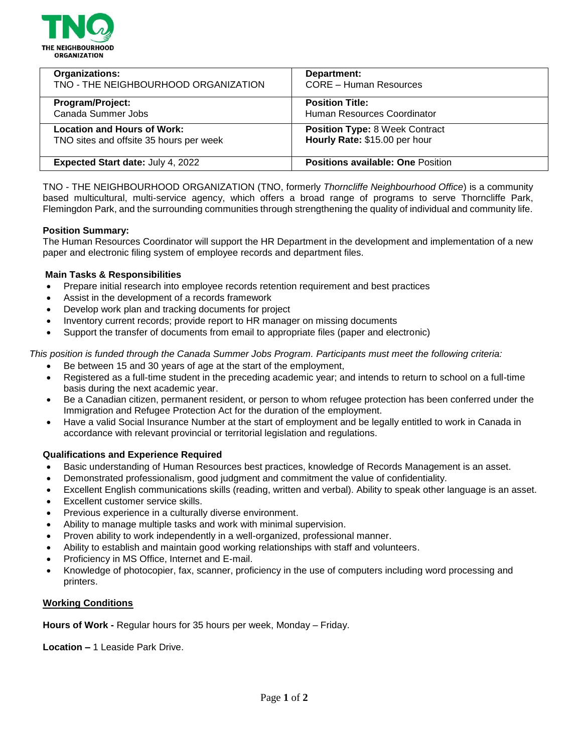

| <b>Organizations:</b>                    | Department:                              |
|------------------------------------------|------------------------------------------|
| TNO - THE NEIGHBOURHOOD ORGANIZATION     | <b>CORE - Human Resources</b>            |
| Program/Project:                         | <b>Position Title:</b>                   |
| Canada Summer Jobs                       | Human Resources Coordinator              |
| <b>Location and Hours of Work:</b>       | <b>Position Type: 8 Week Contract</b>    |
| TNO sites and offsite 35 hours per week  | Hourly Rate: \$15.00 per hour            |
| <b>Expected Start date: July 4, 2022</b> | <b>Positions available: One Position</b> |

TNO - THE NEIGHBOURHOOD ORGANIZATION (TNO, formerly *Thorncliffe Neighbourhood Office*) is a community based multicultural, multi-service agency, which offers a broad range of programs to serve Thorncliffe Park, Flemingdon Park, and the surrounding communities through strengthening the quality of individual and community life.

#### **Position Summary:**

The Human Resources Coordinator will support the HR Department in the development and implementation of a new paper and electronic filing system of employee records and department files.

#### **Main Tasks & Responsibilities**

- Prepare initial research into employee records retention requirement and best practices
- Assist in the development of a records framework
- Develop work plan and tracking documents for project
- Inventory current records; provide report to HR manager on missing documents
- Support the transfer of documents from email to appropriate files (paper and electronic)

*This position is funded through the Canada Summer Jobs Program. Participants must meet the following criteria:*

- Be between 15 and 30 years of age at the start of the employment,
- Registered as a full-time student in the preceding academic year; and intends to return to school on a full-time basis during the next academic year.
- Be a Canadian citizen, permanent resident, or person to whom refugee protection has been conferred under the Immigration and Refugee Protection Act for the duration of the employment.
- Have a valid Social Insurance Number at the start of employment and be legally entitled to work in Canada in accordance with relevant provincial or territorial legislation and regulations.

## **Qualifications and Experience Required**

- Basic understanding of Human Resources best practices, knowledge of Records Management is an asset.
- Demonstrated professionalism, good judgment and commitment the value of confidentiality.
- Excellent English communications skills (reading, written and verbal). Ability to speak other language is an asset.
- Excellent customer service skills.
- Previous experience in a culturally diverse environment.
- Ability to manage multiple tasks and work with minimal supervision.
- Proven ability to work independently in a well-organized, professional manner.
- Ability to establish and maintain good working relationships with staff and volunteers.
- Proficiency in MS Office, Internet and E-mail.
- Knowledge of photocopier, fax, scanner, proficiency in the use of computers including word processing and printers.

## **Working Conditions**

**Hours of Work -** Regular hours for 35 hours per week, Monday – Friday.

**Location –** 1 Leaside Park Drive.